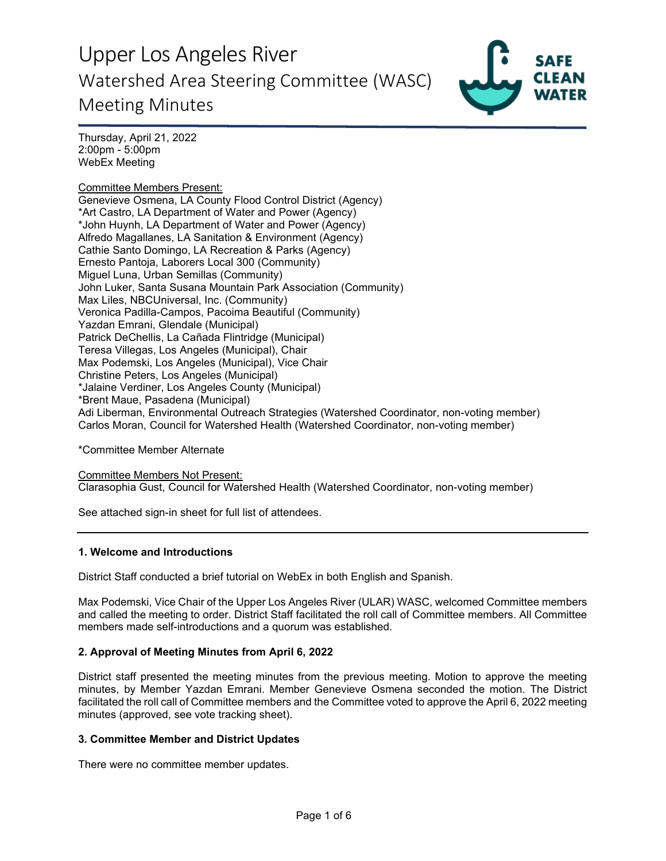

Thursday, April 21, 2022 2:00pm - 5:00pm WebEx Meeting

Committee Members Present: Genevieve Osmena, LA County Flood Control District (Agency) \*Art Castro, LA Department of Water and Power (Agency) \*John Huynh, LA Department of Water and Power (Agency) Alfredo Magallanes, LA Sanitation & Environment (Agency) Cathie Santo Domingo, LA Recreation & Parks (Agency) Ernesto Pantoja, Laborers Local 300 (Community) Miguel Luna, Urban Semillas (Community) John Luker, Santa Susana Mountain Park Association (Community) Max Liles, NBCUniversal, Inc. (Community) Veronica Padilla-Campos, Pacoima Beautiful (Community) Yazdan Emrani, Glendale (Municipal) Patrick DeChellis, La Cañada Flintridge (Municipal) Teresa Villegas, Los Angeles (Municipal), Chair Max Podemski, Los Angeles (Municipal), Vice Chair Christine Peters, Los Angeles (Municipal) \*Jalaine Verdiner, Los Angeles County (Municipal) \*Brent Maue, Pasadena (Municipal) Adi Liberman, Environmental Outreach Strategies (Watershed Coordinator, non-voting member) Carlos Moran, Council for Watershed Health (Watershed Coordinator, non-voting member)

\*Committee Member Alternate

Committee Members Not Present: Clarasophia Gust, Council for Watershed Health (Watershed Coordinator, non-voting member)

See attached sign-in sheet for full list of attendees.

### **1. Welcome and Introductions**

District Staff conducted a brief tutorial on WebEx in both English and Spanish.

Max Podemski, Vice Chair of the Upper Los Angeles River (ULAR) WASC, welcomed Committee members and called the meeting to order. District Staff facilitated the roll call of Committee members. All Committee members made self-introductions and a quorum was established.

### **2. Approval of Meeting Minutes from April 6, 2022**

District staff presented the meeting minutes from the previous meeting. Motion to approve the meeting minutes, by Member Yazdan Emrani. Member Genevieve Osmena seconded the motion. The District facilitated the roll call of Committee members and the Committee voted to approve the April 6, 2022 meeting minutes (approved, see vote tracking sheet).

#### **3. Committee Member and District Updates**

There were no committee member updates.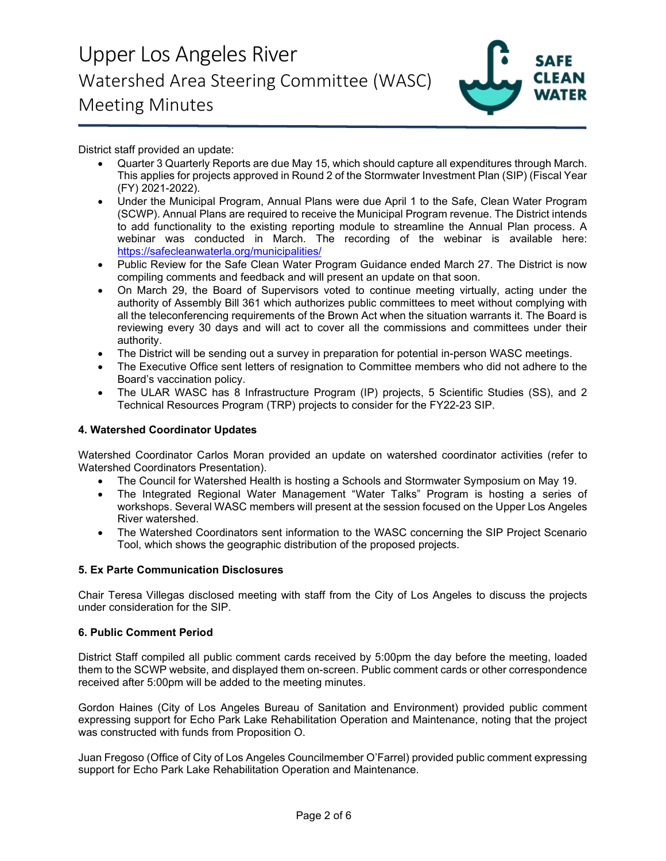

District staff provided an update:

- Quarter 3 Quarterly Reports are due May 15, which should capture all expenditures through March. This applies for projects approved in Round 2 of the Stormwater Investment Plan (SIP) (Fiscal Year (FY) 2021-2022).
- Under the Municipal Program, Annual Plans were due April 1 to the Safe, Clean Water Program (SCWP). Annual Plans are required to receive the Municipal Program revenue. The District intends to add functionality to the existing reporting module to streamline the Annual Plan process. A webinar was conducted in March. The recording of the webinar is available here: <https://safecleanwaterla.org/municipalities/>
- Public Review for the Safe Clean Water Program Guidance ended March 27. The District is now compiling comments and feedback and will present an update on that soon.
- On March 29, the Board of Supervisors voted to continue meeting virtually, acting under the authority of Assembly Bill 361 which authorizes public committees to meet without complying with all the teleconferencing requirements of the Brown Act when the situation warrants it. The Board is reviewing every 30 days and will act to cover all the commissions and committees under their authority.
- The District will be sending out a survey in preparation for potential in-person WASC meetings.
- The Executive Office sent letters of resignation to Committee members who did not adhere to the Board's vaccination policy.
- The ULAR WASC has 8 Infrastructure Program (IP) projects, 5 Scientific Studies (SS), and 2 Technical Resources Program (TRP) projects to consider for the FY22-23 SIP.

## **4. Watershed Coordinator Updates**

Watershed Coordinator Carlos Moran provided an update on watershed coordinator activities (refer to Watershed Coordinators Presentation).

- The Council for Watershed Health is hosting a Schools and Stormwater Symposium on May 19.
- The Integrated Regional Water Management "Water Talks" Program is hosting a series of workshops. Several WASC members will present at the session focused on the Upper Los Angeles River watershed.
- The Watershed Coordinators sent information to the WASC concerning the SIP Project Scenario Tool, which shows the geographic distribution of the proposed projects.

### **5. Ex Parte Communication Disclosures**

Chair Teresa Villegas disclosed meeting with staff from the City of Los Angeles to discuss the projects under consideration for the SIP.

### **6. Public Comment Period**

District Staff compiled all public comment cards received by 5:00pm the day before the meeting, loaded them to the SCWP website, and displayed them on-screen. Public comment cards or other correspondence received after 5:00pm will be added to the meeting minutes.

Gordon Haines (City of Los Angeles Bureau of Sanitation and Environment) provided public comment expressing support for Echo Park Lake Rehabilitation Operation and Maintenance, noting that the project was constructed with funds from Proposition O.

Juan Fregoso (Office of City of Los Angeles Councilmember O'Farrel) provided public comment expressing support for Echo Park Lake Rehabilitation Operation and Maintenance.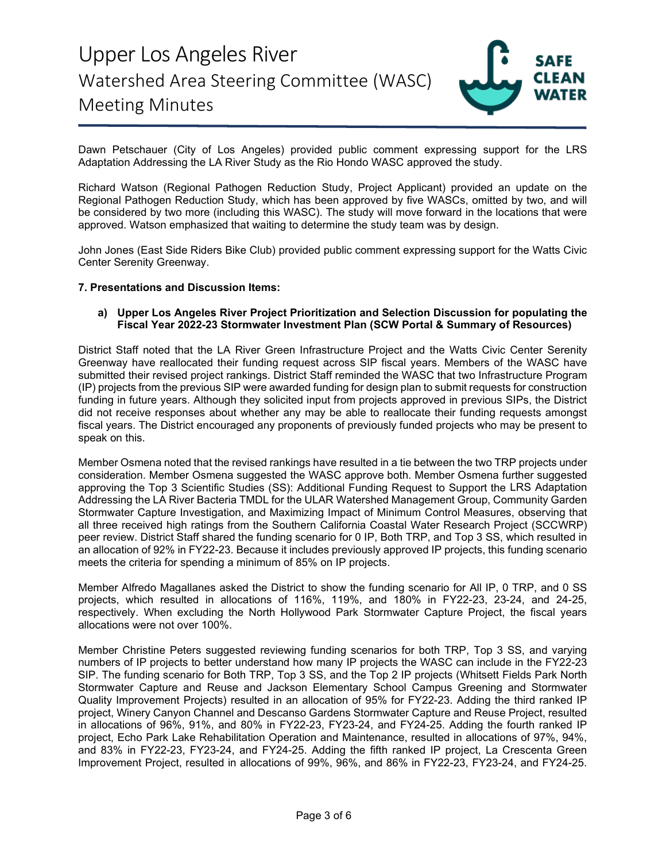

Dawn Petschauer (City of Los Angeles) provided public comment expressing support for the LRS Adaptation Addressing the LA River Study as the Rio Hondo WASC approved the study.

Richard Watson (Regional Pathogen Reduction Study, Project Applicant) provided an update on the Regional Pathogen Reduction Study, which has been approved by five WASCs, omitted by two, and will be considered by two more (including this WASC). The study will move forward in the locations that were approved. Watson emphasized that waiting to determine the study team was by design.

John Jones (East Side Riders Bike Club) provided public comment expressing support for the Watts Civic Center Serenity Greenway.

#### **7. Presentations and Discussion Items:**

#### **a) Upper Los Angeles River Project Prioritization and Selection Discussion for populating the Fiscal Year 2022-23 Stormwater Investment Plan (SCW Portal & Summary of Resources)**

District Staff noted that the LA River Green Infrastructure Project and the Watts Civic Center Serenity Greenway have reallocated their funding request across SIP fiscal years. Members of the WASC have submitted their revised project rankings. District Staff reminded the WASC that two Infrastructure Program (IP) projects from the previous SIP were awarded funding for design plan to submit requests for construction funding in future years. Although they solicited input from projects approved in previous SIPs, the District did not receive responses about whether any may be able to reallocate their funding requests amongst fiscal years. The District encouraged any proponents of previously funded projects who may be present to speak on this.

Member Osmena noted that the revised rankings have resulted in a tie between the two TRP projects under consideration. Member Osmena suggested the WASC approve both. Member Osmena further suggested approving the Top 3 Scientific Studies (SS): Additional Funding Request to Support the LRS Adaptation Addressing the LA River Bacteria TMDL for the ULAR Watershed Management Group, Community Garden Stormwater Capture Investigation, and Maximizing Impact of Minimum Control Measures, observing that all three received high ratings from the Southern California Coastal Water Research Project (SCCWRP) peer review. District Staff shared the funding scenario for 0 IP, Both TRP, and Top 3 SS, which resulted in an allocation of 92% in FY22-23. Because it includes previously approved IP projects, this funding scenario meets the criteria for spending a minimum of 85% on IP projects.

Member Alfredo Magallanes asked the District to show the funding scenario for All IP, 0 TRP, and 0 SS projects, which resulted in allocations of 116%, 119%, and 180% in FY22-23, 23-24, and 24-25, respectively. When excluding the North Hollywood Park Stormwater Capture Project, the fiscal years allocations were not over 100%.

Member Christine Peters suggested reviewing funding scenarios for both TRP, Top 3 SS, and varying numbers of IP projects to better understand how many IP projects the WASC can include in the FY22-23 SIP. The funding scenario for Both TRP, Top 3 SS, and the Top 2 IP projects (Whitsett Fields Park North Stormwater Capture and Reuse and Jackson Elementary School Campus Greening and Stormwater Quality Improvement Projects) resulted in an allocation of 95% for FY22-23. Adding the third ranked IP project, Winery Canyon Channel and Descanso Gardens Stormwater Capture and Reuse Project, resulted in allocations of 96%, 91%, and 80% in FY22-23, FY23-24, and FY24-25. Adding the fourth ranked IP project, Echo Park Lake Rehabilitation Operation and Maintenance, resulted in allocations of 97%, 94%, and 83% in FY22-23, FY23-24, and FY24-25. Adding the fifth ranked IP project, La Crescenta Green Improvement Project, resulted in allocations of 99%, 96%, and 86% in FY22-23, FY23-24, and FY24-25.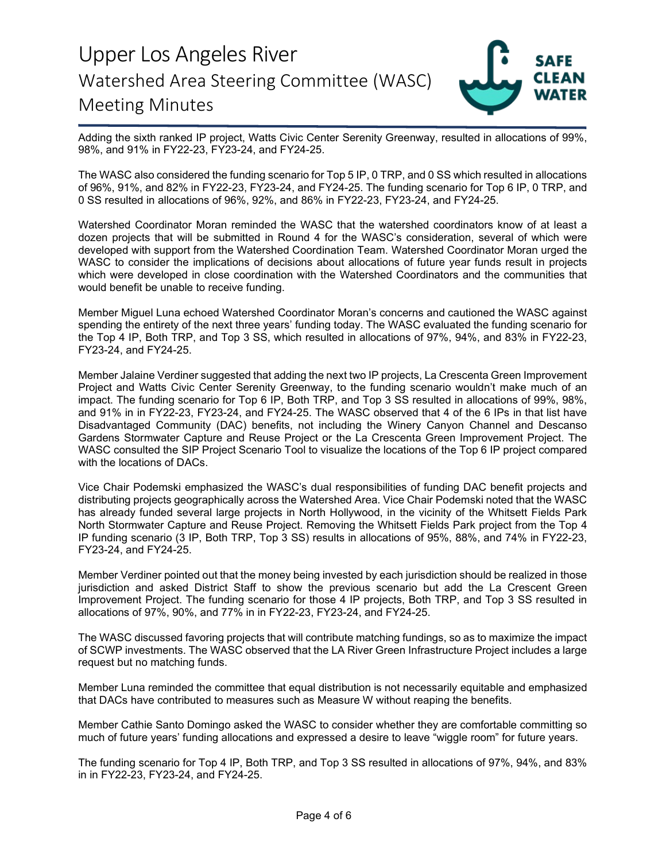

Adding the sixth ranked IP project, Watts Civic Center Serenity Greenway, resulted in allocations of 99%, 98%, and 91% in FY22-23, FY23-24, and FY24-25.

The WASC also considered the funding scenario for Top 5 IP, 0 TRP, and 0 SS which resulted in allocations of 96%, 91%, and 82% in FY22-23, FY23-24, and FY24-25. The funding scenario for Top 6 IP, 0 TRP, and 0 SS resulted in allocations of 96%, 92%, and 86% in FY22-23, FY23-24, and FY24-25.

Watershed Coordinator Moran reminded the WASC that the watershed coordinators know of at least a dozen projects that will be submitted in Round 4 for the WASC's consideration, several of which were developed with support from the Watershed Coordination Team. Watershed Coordinator Moran urged the WASC to consider the implications of decisions about allocations of future year funds result in projects which were developed in close coordination with the Watershed Coordinators and the communities that would benefit be unable to receive funding.

Member Miguel Luna echoed Watershed Coordinator Moran's concerns and cautioned the WASC against spending the entirety of the next three years' funding today. The WASC evaluated the funding scenario for the Top 4 IP, Both TRP, and Top 3 SS, which resulted in allocations of 97%, 94%, and 83% in FY22-23, FY23-24, and FY24-25.

Member Jalaine Verdiner suggested that adding the next two IP projects, La Crescenta Green Improvement Project and Watts Civic Center Serenity Greenway, to the funding scenario wouldn't make much of an impact. The funding scenario for Top 6 IP, Both TRP, and Top 3 SS resulted in allocations of 99%, 98%, and 91% in in FY22-23, FY23-24, and FY24-25. The WASC observed that 4 of the 6 IPs in that list have Disadvantaged Community (DAC) benefits, not including the Winery Canyon Channel and Descanso Gardens Stormwater Capture and Reuse Project or the La Crescenta Green Improvement Project. The WASC consulted the SIP Project Scenario Tool to visualize the locations of the Top 6 IP project compared with the locations of DACs.

Vice Chair Podemski emphasized the WASC's dual responsibilities of funding DAC benefit projects and distributing projects geographically across the Watershed Area. Vice Chair Podemski noted that the WASC has already funded several large projects in North Hollywood, in the vicinity of the Whitsett Fields Park North Stormwater Capture and Reuse Project. Removing the Whitsett Fields Park project from the Top 4 IP funding scenario (3 IP, Both TRP, Top 3 SS) results in allocations of 95%, 88%, and 74% in FY22-23, FY23-24, and FY24-25.

Member Verdiner pointed out that the money being invested by each jurisdiction should be realized in those jurisdiction and asked District Staff to show the previous scenario but add the La Crescent Green Improvement Project. The funding scenario for those 4 IP projects, Both TRP, and Top 3 SS resulted in allocations of 97%, 90%, and 77% in in FY22-23, FY23-24, and FY24-25.

The WASC discussed favoring projects that will contribute matching fundings, so as to maximize the impact of SCWP investments. The WASC observed that the LA River Green Infrastructure Project includes a large request but no matching funds.

Member Luna reminded the committee that equal distribution is not necessarily equitable and emphasized that DACs have contributed to measures such as Measure W without reaping the benefits.

Member Cathie Santo Domingo asked the WASC to consider whether they are comfortable committing so much of future years' funding allocations and expressed a desire to leave "wiggle room" for future years.

The funding scenario for Top 4 IP, Both TRP, and Top 3 SS resulted in allocations of 97%, 94%, and 83% in in FY22-23, FY23-24, and FY24-25.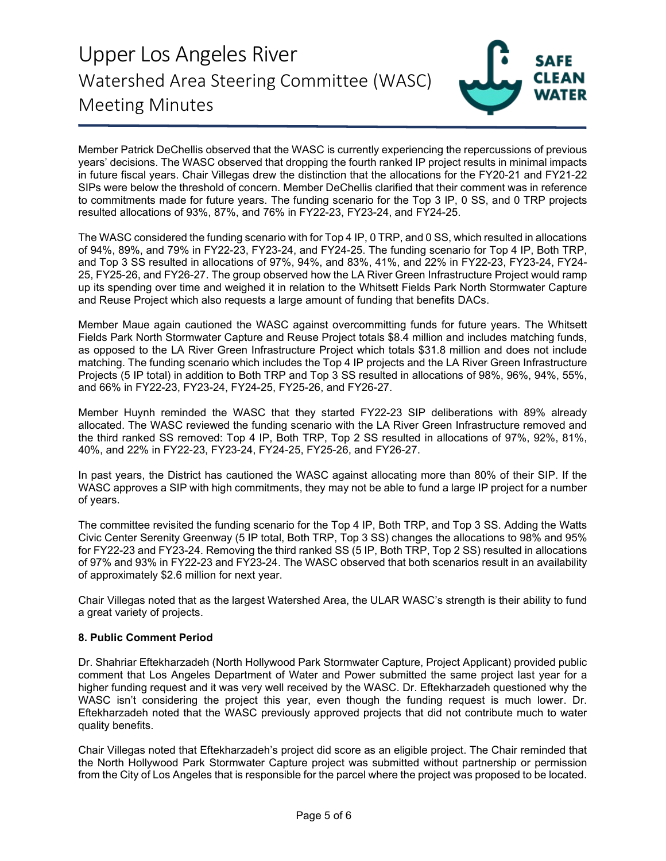

Member Patrick DeChellis observed that the WASC is currently experiencing the repercussions of previous years' decisions. The WASC observed that dropping the fourth ranked IP project results in minimal impacts in future fiscal years. Chair Villegas drew the distinction that the allocations for the FY20-21 and FY21-22 SIPs were below the threshold of concern. Member DeChellis clarified that their comment was in reference to commitments made for future years. The funding scenario for the Top 3 IP, 0 SS, and 0 TRP projects resulted allocations of 93%, 87%, and 76% in FY22-23, FY23-24, and FY24-25.

The WASC considered the funding scenario with for Top 4 IP, 0 TRP, and 0 SS, which resulted in allocations of 94%, 89%, and 79% in FY22-23, FY23-24, and FY24-25. The funding scenario for Top 4 IP, Both TRP, and Top 3 SS resulted in allocations of 97%, 94%, and 83%, 41%, and 22% in FY22-23, FY23-24, FY24- 25, FY25-26, and FY26-27. The group observed how the LA River Green Infrastructure Project would ramp up its spending over time and weighed it in relation to the Whitsett Fields Park North Stormwater Capture and Reuse Project which also requests a large amount of funding that benefits DACs.

Member Maue again cautioned the WASC against overcommitting funds for future years. The Whitsett Fields Park North Stormwater Capture and Reuse Project totals \$8.4 million and includes matching funds, as opposed to the LA River Green Infrastructure Project which totals \$31.8 million and does not include matching. The funding scenario which includes the Top 4 IP projects and the LA River Green Infrastructure Projects (5 IP total) in addition to Both TRP and Top 3 SS resulted in allocations of 98%, 96%, 94%, 55%, and 66% in FY22-23, FY23-24, FY24-25, FY25-26, and FY26-27.

Member Huynh reminded the WASC that they started FY22-23 SIP deliberations with 89% already allocated. The WASC reviewed the funding scenario with the LA River Green Infrastructure removed and the third ranked SS removed: Top 4 IP, Both TRP, Top 2 SS resulted in allocations of 97%, 92%, 81%, 40%, and 22% in FY22-23, FY23-24, FY24-25, FY25-26, and FY26-27.

In past years, the District has cautioned the WASC against allocating more than 80% of their SIP. If the WASC approves a SIP with high commitments, they may not be able to fund a large IP project for a number of years.

The committee revisited the funding scenario for the Top 4 IP, Both TRP, and Top 3 SS. Adding the Watts Civic Center Serenity Greenway (5 IP total, Both TRP, Top 3 SS) changes the allocations to 98% and 95% for FY22-23 and FY23-24. Removing the third ranked SS (5 IP, Both TRP, Top 2 SS) resulted in allocations of 97% and 93% in FY22-23 and FY23-24. The WASC observed that both scenarios result in an availability of approximately \$2.6 million for next year.

Chair Villegas noted that as the largest Watershed Area, the ULAR WASC's strength is their ability to fund a great variety of projects.

### **8. Public Comment Period**

Dr. Shahriar Eftekharzadeh (North Hollywood Park Stormwater Capture, Project Applicant) provided public comment that Los Angeles Department of Water and Power submitted the same project last year for a higher funding request and it was very well received by the WASC. Dr. Eftekharzadeh questioned why the WASC isn't considering the project this year, even though the funding request is much lower. Dr. Eftekharzadeh noted that the WASC previously approved projects that did not contribute much to water quality benefits.

Chair Villegas noted that Eftekharzadeh's project did score as an eligible project. The Chair reminded that the North Hollywood Park Stormwater Capture project was submitted without partnership or permission from the City of Los Angeles that is responsible for the parcel where the project was proposed to be located.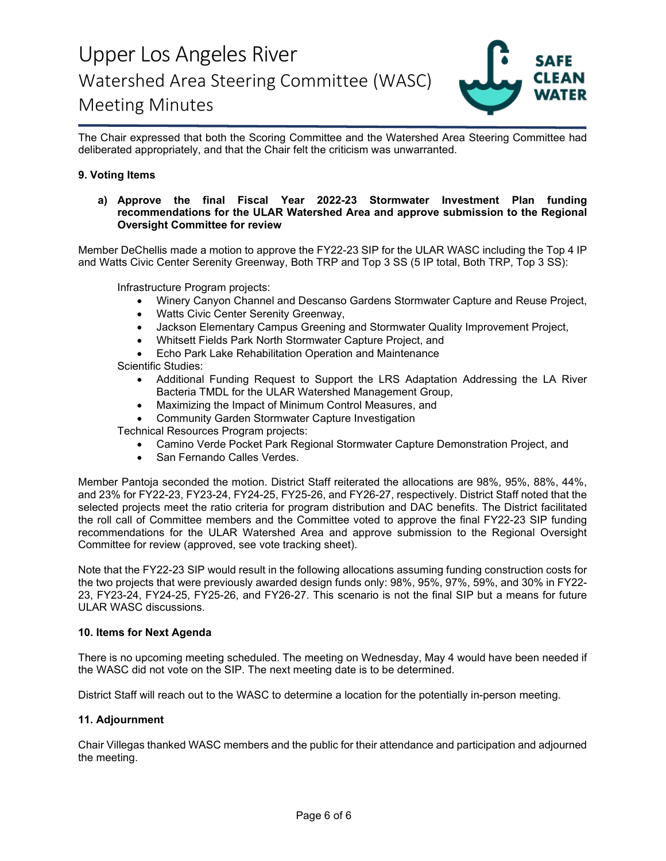

The Chair expressed that both the Scoring Committee and the Watershed Area Steering Committee had deliberated appropriately, and that the Chair felt the criticism was unwarranted.

### **9. Voting Items**

#### **a) Approve the final Fiscal Year 2022-23 Stormwater Investment Plan funding recommendations for the ULAR Watershed Area and approve submission to the Regional Oversight Committee for review**

Member DeChellis made a motion to approve the FY22-23 SIP for the ULAR WASC including the Top 4 IP and Watts Civic Center Serenity Greenway, Both TRP and Top 3 SS (5 IP total, Both TRP, Top 3 SS):

Infrastructure Program projects:

- Winery Canyon Channel and Descanso Gardens Stormwater Capture and Reuse Project,
- Watts Civic Center Serenity Greenway,
- Jackson Elementary Campus Greening and Stormwater Quality Improvement Project,
- Whitsett Fields Park North Stormwater Capture Project, and
- Echo Park Lake Rehabilitation Operation and Maintenance
- Scientific Studies:
	- Additional Funding Request to Support the LRS Adaptation Addressing the LA River Bacteria TMDL for the ULAR Watershed Management Group,
	- Maximizing the Impact of Minimum Control Measures, and
	- Community Garden Stormwater Capture Investigation

Technical Resources Program projects:

- Camino Verde Pocket Park Regional Stormwater Capture Demonstration Project, and
- San Fernando Calles Verdes.

Member Pantoja seconded the motion. District Staff reiterated the allocations are 98%, 95%, 88%, 44%, and 23% for FY22-23, FY23-24, FY24-25, FY25-26, and FY26-27, respectively. District Staff noted that the selected projects meet the ratio criteria for program distribution and DAC benefits. The District facilitated the roll call of Committee members and the Committee voted to approve the final FY22-23 SIP funding recommendations for the ULAR Watershed Area and approve submission to the Regional Oversight Committee for review (approved, see vote tracking sheet).

Note that the FY22-23 SIP would result in the following allocations assuming funding construction costs for the two projects that were previously awarded design funds only: 98%, 95%, 97%, 59%, and 30% in FY22- 23, FY23-24, FY24-25, FY25-26, and FY26-27. This scenario is not the final SIP but a means for future ULAR WASC discussions.

#### **10. Items for Next Agenda**

There is no upcoming meeting scheduled. The meeting on Wednesday, May 4 would have been needed if the WASC did not vote on the SIP. The next meeting date is to be determined.

District Staff will reach out to the WASC to determine a location for the potentially in-person meeting.

#### **11. Adjournment**

Chair Villegas thanked WASC members and the public for their attendance and participation and adjourned the meeting.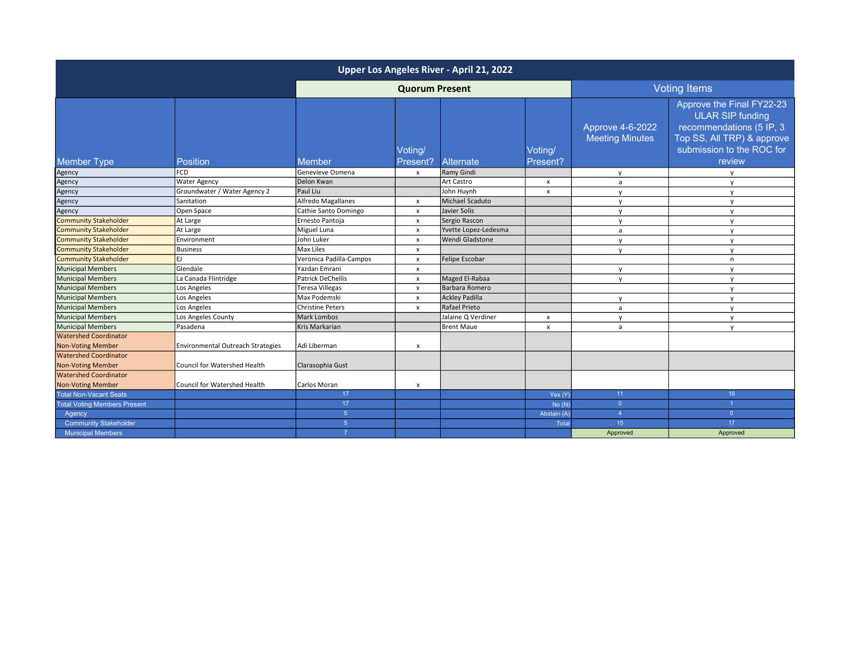| Upper Los Angeles River - April 21, 2022                 |                                          |                          |                           |                       |                           |                                            |                                                                                                                                                       |
|----------------------------------------------------------|------------------------------------------|--------------------------|---------------------------|-----------------------|---------------------------|--------------------------------------------|-------------------------------------------------------------------------------------------------------------------------------------------------------|
|                                                          |                                          | <b>Quorum Present</b>    |                           |                       |                           | <b>Voting Items</b>                        |                                                                                                                                                       |
| <b>Member Type</b>                                       | <b>Position</b>                          | Member                   | Voting/<br>Present?       | Alternate             | Voting/<br>Present?       | Approve 4-6-2022<br><b>Meeting Minutes</b> | Approve the Final FY22-23<br><b>ULAR SIP funding</b><br>recommendations (5 IP, 3<br>Top SS, All TRP) & approve<br>submission to the ROC for<br>review |
| Agency                                                   | <b>FCD</b>                               | Genevieve Osmena         | $\boldsymbol{\mathsf{x}}$ | Ramy Gindi            |                           | $\mathsf{v}$                               | $\mathsf{v}$                                                                                                                                          |
| Agency                                                   | Water Agency                             | Delon Kwan               |                           | Art Castro            | $\boldsymbol{\mathsf{x}}$ | a                                          | y                                                                                                                                                     |
| Agency                                                   | Groundwater / Water Agency 2             | Paul Liu                 |                           | John Huynh            | X                         | $\mathsf{v}$                               | y                                                                                                                                                     |
| Agency                                                   | Sanitation                               | Alfredo Magallanes       | $\boldsymbol{\mathsf{x}}$ | Michael Scaduto       |                           | $\mathsf{v}$                               | y                                                                                                                                                     |
| Agency                                                   | Open Space                               | Cathie Santo Domingo     | $\boldsymbol{\mathsf{x}}$ | Javier Solis          |                           | $\mathsf{v}$                               | $\mathsf{v}$                                                                                                                                          |
| <b>Community Stakeholder</b>                             | At Large                                 | Ernesto Pantoja          | $\pmb{\times}$            | Sergio Rascon         |                           | $\mathsf{v}$                               | $\mathsf{v}$                                                                                                                                          |
| <b>Community Stakeholder</b>                             | At Large                                 | Miguel Luna              | $\mathsf{x}$              | Yvette Lopez-Ledesma  |                           | a                                          | y                                                                                                                                                     |
| <b>Community Stakeholder</b>                             | Environment                              | John Luker               | $\boldsymbol{\mathsf{x}}$ | Wendi Gladstone       |                           | $\mathsf{v}$                               | $\mathsf{v}$                                                                                                                                          |
| <b>Community Stakeholder</b>                             | Business                                 | Max Liles                | $\boldsymbol{\mathsf{x}}$ |                       |                           | $\mathsf{v}$                               | y                                                                                                                                                     |
| <b>Community Stakeholder</b>                             | F١                                       | Veronica Padilla-Campos  | $\boldsymbol{\mathsf{x}}$ | Felipe Escobar        |                           |                                            | n                                                                                                                                                     |
| <b>Municipal Members</b>                                 | Glendale                                 | Yazdan Emrani            | $\pmb{\times}$            |                       |                           | $\mathsf{v}$                               | $\mathsf{v}$                                                                                                                                          |
| <b>Municipal Members</b>                                 | La Canada Flintridge                     | <b>Patrick DeChellis</b> | $\boldsymbol{\mathsf{x}}$ | Maged El-Rabaa        |                           | $\mathsf{v}$                               | y                                                                                                                                                     |
| <b>Municipal Members</b>                                 | Los Angeles                              | <b>Teresa Villegas</b>   | $\boldsymbol{\mathsf{x}}$ | Barbara Romero        |                           |                                            | $\mathsf{v}$                                                                                                                                          |
| <b>Municipal Members</b>                                 | Los Angeles                              | Max Podemski             | $\mathsf{x}$              | <b>Ackley Padilla</b> |                           | v                                          | y                                                                                                                                                     |
| <b>Municipal Members</b>                                 | Los Angeles                              | <b>Christine Peters</b>  | $\boldsymbol{\mathsf{x}}$ | Rafael Prieto         |                           | a                                          | $\mathsf{v}$                                                                                                                                          |
| <b>Municipal Members</b>                                 | Los Angeles County                       | Mark Lombos              |                           | Jalaine Q Verdiner    | x                         | $\mathsf{v}$                               | $\mathsf{v}$                                                                                                                                          |
| <b>Municipal Members</b>                                 | Pasadena                                 | Kris Markarian           |                           | Brent Maue            | X                         | a                                          | $\mathsf{v}$                                                                                                                                          |
| <b>Watershed Coordinator</b><br><b>Non-Voting Member</b> | <b>Environmental Outreach Strategies</b> | Adi Liberman             | X                         |                       |                           |                                            |                                                                                                                                                       |
| <b>Watershed Coordinator</b>                             |                                          |                          |                           |                       |                           |                                            |                                                                                                                                                       |
| <b>Non-Voting Member</b>                                 | Council for Watershed Health             | Clarasophia Gust         |                           |                       |                           |                                            |                                                                                                                                                       |
| <b>Watershed Coordinator</b>                             |                                          |                          |                           |                       |                           |                                            |                                                                                                                                                       |
| <b>Non-Voting Member</b>                                 | Council for Watershed Health             | Carlos Moran             | $\boldsymbol{\mathsf{x}}$ |                       |                           |                                            |                                                                                                                                                       |
| <b>Total Non-Vacant Seats</b>                            |                                          | 17                       |                           |                       | Yes (Y)                   | 11                                         | 16                                                                                                                                                    |
| <b>Total Voting Members Present</b>                      |                                          | 17                       |                           |                       | No(N)                     | $\overline{0}$                             | $\overline{1}$                                                                                                                                        |
| Agency                                                   |                                          | $5\phantom{.}$           |                           |                       | Abstain (A)               | $\overline{A}$                             | $\overline{0}$                                                                                                                                        |
| <b>Community Stakeholder</b>                             |                                          | $5\phantom{1}$           |                           |                       | Total                     | 15                                         | 17                                                                                                                                                    |
| <b>Municipal Members</b>                                 |                                          |                          |                           |                       |                           | Approved                                   | Approved                                                                                                                                              |